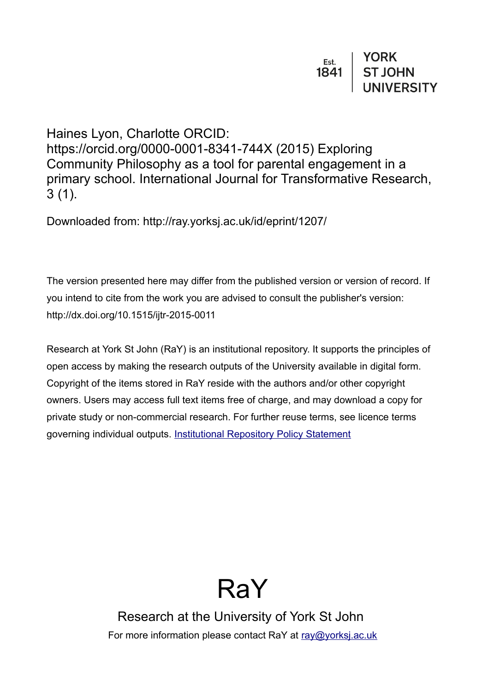Haines Lyon, Charlotte ORCID: https://orcid.org/0000-0001-8341-744X (2015) Exploring Community Philosophy as a tool for parental engagement in a primary school. International Journal for Transformative Research, 3 (1).

Downloaded from: http://ray.yorksj.ac.uk/id/eprint/1207/

The version presented here may differ from the published version or version of record. If you intend to cite from the work you are advised to consult the publisher's version: http://dx.doi.org/10.1515/ijtr-2015-0011

Research at York St John (RaY) is an institutional repository. It supports the principles of open access by making the research outputs of the University available in digital form. Copyright of the items stored in RaY reside with the authors and/or other copyright owners. Users may access full text items free of charge, and may download a copy for private study or non-commercial research. For further reuse terms, see licence terms governing individual outputs. [Institutional Repository Policy Statement](https://www.yorksj.ac.uk/ils/repository-policies/)



Research at the University of York St John For more information please contact RaY at [ray@yorksj.ac.uk](mailto:ray@yorksj.ac.uk)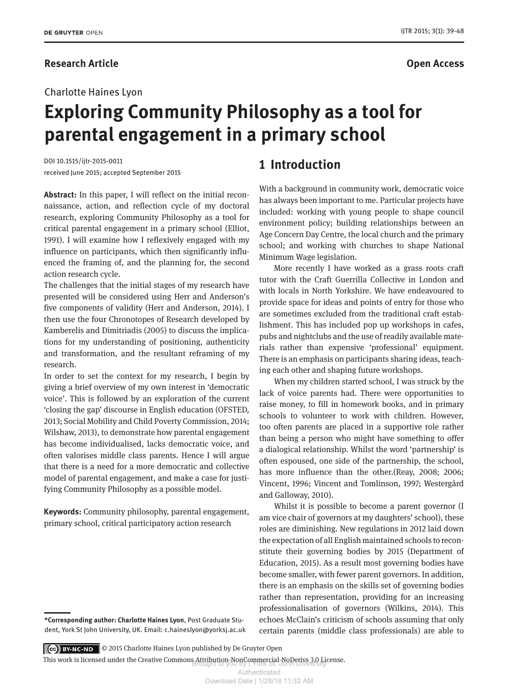#### **Research Article Contracts Contracts Contracts Contracts Contracts Contracts Contracts Open Access**

#### IJTR 2015; 3(1): 39-48

# **Exploring Community Philosophy as a tool for parental engagement in a primary school**

DOI 10.1515/ijtr-2015-0011 received June 2015; accepted September 2015

**Abstract:** In this paper, I will reflect on the initial reconnaissance, action, and reflection cycle of my doctoral research, exploring Community Philosophy as a tool for critical parental engagement in a primary school (Elliot, 1991). I will examine how I reflexively engaged with my influence on participants, which then significantly influenced the framing of, and the planning for, the second action research cycle.

The challenges that the initial stages of my research have presented will be considered using Herr and Anderson's five components of validity (Herr and Anderson, 2014). I then use the four Chronotopes of Research developed by Kamberelis and Dimitriadis (2005) to discuss the implications for my understanding of positioning, authenticity and transformation, and the resultant reframing of my research.

In order to set the context for my research, I begin by giving a brief overview of my own interest in 'democratic voice'. This is followed by an exploration of the current 'closing the gap' discourse in English education (OFSTED, 2013; Social Mobility and Child Poverty Commission, 2014; Wilshaw, 2013), to demonstrate how parental engagement has become individualised, lacks democratic voice, and often valorises middle class parents. Hence I will argue that there is a need for a more democratic and collective model of parental engagement, and make a case for justifying Community Philosophy as a possible model.

**Keywords:** Community philosophy, parental engagement, primary school, critical participatory action research

# **1 Introduction**

With a background in community work, democratic voice has always been important to me. Particular projects have included: working with young people to shape council environment policy; building relationships between an Age Concern Day Centre, the local church and the primary school; and working with churches to shape National Minimum Wage legislation.

More recently I have worked as a grass roots craft tutor with the Craft Guerrilla Collective in London and with locals in North Yorkshire. We have endeavoured to provide space for ideas and points of entry for those who are sometimes excluded from the traditional craft establishment. This has included pop up workshops in cafes, pubs and nightclubs and the use of readily available materials rather than expensive 'professional' equipment. There is an emphasis on participants sharing ideas, teaching each other and shaping future workshops.

When my children started school, I was struck by the lack of voice parents had. There were opportunities to raise money, to fill in homework books, and in primary schools to volunteer to work with children. However, too often parents are placed in a supportive role rather than being a person who might have something to offer a dialogical relationship. Whilst the word 'partnership' is often espoused, one side of the partnership, the school, has more influence than the other.(Reay, 2008; 2006; Vincent, 1996; Vincent and Tomlinson, 1997; Westergård and Galloway, 2010).

Whilst it is possible to become a parent governor (I am vice chair of governors at my daughters' school), these roles are diminishing. New regulations in 2012 laid down the expectation of all English maintained schools to reconstitute their governing bodies by 2015 (Department of Education, 2015). As a result most governing bodies have become smaller, with fewer parent governors. In addition, there is an emphasis on the skills set of governing bodies rather than representation, providing for an increasing professionalisation of governors (Wilkins, 2014). This echoes McClain's criticism of schools assuming that only certain parents (middle class professionals) are able to

© 2015 Charlotte Haines Lyon published by De Gruyter Open

This work is licensed under the Creative Commons Attribution-NonCommercial-NoDerivs 3.0 License.<br>-

**<sup>\*</sup>Corresponding author: Charlotte Haines Lyon**, Post Graduate Student, York St John University, UK. Email: c.haineslyon@yorksj.ac.uk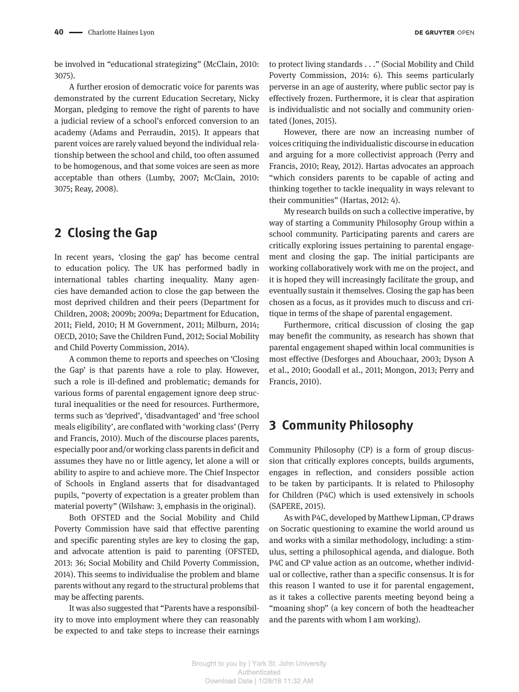be involved in "educational strategizing" (McClain, 2010: 3075).

A further erosion of democratic voice for parents was demonstrated by the current Education Secretary, Nicky Morgan, pledging to remove the right of parents to have a judicial review of a school's enforced conversion to an academy (Adams and Perraudin, 2015). It appears that parent voices are rarely valued beyond the individual relationship between the school and child, too often assumed to be homogenous, and that some voices are seen as more acceptable than others (Lumby, 2007; McClain, 2010: 3075; Reay, 2008).

# **2 Closing the Gap**

In recent years, 'closing the gap' has become central to education policy. The UK has performed badly in international tables charting inequality. Many agencies have demanded action to close the gap between the most deprived children and their peers (Department for Children, 2008; 2009b; 2009a; Department for Education, 2011; Field, 2010; H M Government, 2011; Milburn, 2014; OECD, 2010; Save the Children Fund, 2012; Social Mobility and Child Poverty Commission, 2014).

A common theme to reports and speeches on 'Closing the Gap' is that parents have a role to play. However, such a role is ill-defined and problematic; demands for various forms of parental engagement ignore deep structural inequalities or the need for resources. Furthermore, terms such as 'deprived', 'disadvantaged' and 'free school meals eligibility', are conflated with 'working class' (Perry and Francis, 2010). Much of the discourse places parents, especially poor and/or working class parents in deficit and assumes they have no or little agency, let alone a will or ability to aspire to and achieve more. The Chief Inspector of Schools in England asserts that for disadvantaged pupils, "poverty of expectation is a greater problem than material poverty" (Wilshaw: 3, emphasis in the original).

Both OFSTED and the Social Mobility and Child Poverty Commission have said that effective parenting and specific parenting styles are key to closing the gap, and advocate attention is paid to parenting (OFSTED, 2013: 36; Social Mobility and Child Poverty Commission, 2014). This seems to individualise the problem and blame parents without any regard to the structural problems that may be affecting parents.

It was also suggested that "Parents have a responsibility to move into employment where they can reasonably be expected to and take steps to increase their earnings to protect living standards . . ." (Social Mobility and Child Poverty Commission, 2014: 6). This seems particularly perverse in an age of austerity, where public sector pay is effectively frozen. Furthermore, it is clear that aspiration is individualistic and not socially and community orientated (Jones, 2015).

However, there are now an increasing number of voices critiquing the individualistic discourse in education and arguing for a more collectivist approach (Perry and Francis, 2010; Reay, 2012). Hartas advocates an approach "which considers parents to be capable of acting and thinking together to tackle inequality in ways relevant to their communities" (Hartas, 2012: 4).

My research builds on such a collective imperative, by way of starting a Community Philosophy Group within a school community. Participating parents and carers are critically exploring issues pertaining to parental engagement and closing the gap. The initial participants are working collaboratively work with me on the project, and it is hoped they will increasingly facilitate the group, and eventually sustain it themselves. Closing the gap has been chosen as a focus, as it provides much to discuss and critique in terms of the shape of parental engagement.

Furthermore, critical discussion of closing the gap may benefit the community, as research has shown that parental engagement shaped within local communities is most effective (Desforges and Abouchaar, 2003; Dyson A et al., 2010; Goodall et al., 2011; Mongon, 2013; Perry and Francis, 2010).

### **3 Community Philosophy**

Community Philosophy (CP) is a form of group discussion that critically explores concepts, builds arguments, engages in reflection, and considers possible action to be taken by participants. It is related to Philosophy for Children (P4C) which is used extensively in schools (SAPERE, 2015).

As with P4C, developed by Matthew Lipman, CP draws on Socratic questioning to examine the world around us and works with a similar methodology, including: a stimulus, setting a philosophical agenda, and dialogue. Both P4C and CP value action as an outcome, whether individual or collective, rather than a specific consensus. It is for this reason I wanted to use it for parental engagement, as it takes a collective parents meeting beyond being a "moaning shop" (a key concern of both the headteacher and the parents with whom I am working).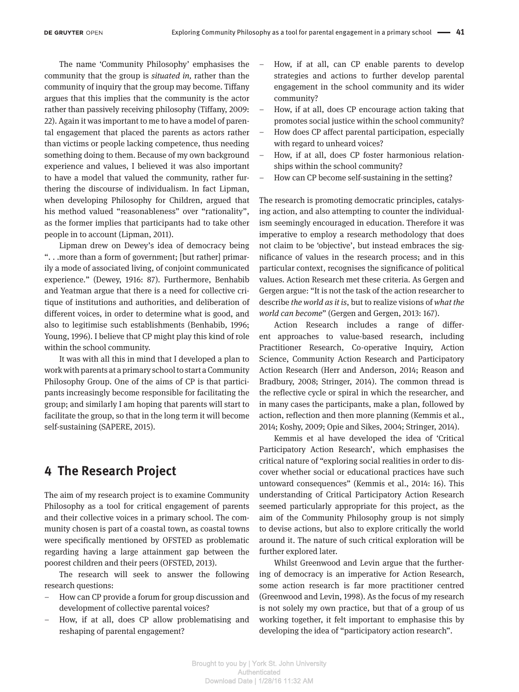The name 'Community Philosophy' emphasises the community that the group is *situated in,* rather than the community of inquiry that the group may become. Tiffany argues that this implies that the community is the actor rather than passively receiving philosophy (Tiffany, 2009: 22). Again it was important to me to have a model of parental engagement that placed the parents as actors rather than victims or people lacking competence, thus needing something doing to them. Because of my own background experience and values, I believed it was also important to have a model that valued the community, rather furthering the discourse of individualism. In fact Lipman, when developing Philosophy for Children, argued that his method valued "reasonableness" over "rationality", as the former implies that participants had to take other people in to account (Lipman, 2011).

Lipman drew on Dewey's idea of democracy being ". . .more than a form of government; [but rather] primarily a mode of associated living, of conjoint communicated experience." (Dewey, 1916: 87). Furthermore, Benhabib and Yeatman argue that there is a need for collective critique of institutions and authorities, and deliberation of different voices, in order to determine what is good, and also to legitimise such establishments (Benhabib, 1996; Young, 1996). I believe that CP might play this kind of role within the school community.

It was with all this in mind that I developed a plan to work with parents at a primary school to start a Community Philosophy Group. One of the aims of CP is that participants increasingly become responsible for facilitating the group; and similarly I am hoping that parents will start to facilitate the group, so that in the long term it will become self-sustaining (SAPERE, 2015).

#### **4 The Research Project**

The aim of my research project is to examine Community Philosophy as a tool for critical engagement of parents and their collective voices in a primary school. The community chosen is part of a coastal town, as coastal towns were specifically mentioned by OFSTED as problematic regarding having a large attainment gap between the poorest children and their peers (OFSTED, 2013).

The research will seek to answer the following research questions:

- How can CP provide a forum for group discussion and development of collective parental voices?
- How, if at all, does CP allow problematising and reshaping of parental engagement?
- How, if at all, can CP enable parents to develop strategies and actions to further develop parental engagement in the school community and its wider community?
- How, if at all, does CP encourage action taking that promotes social justice within the school community?
- How does CP affect parental participation, especially with regard to unheard voices?
- How, if at all, does CP foster harmonious relationships within the school community?
- How can CP become self-sustaining in the setting?

The research is promoting democratic principles, catalysing action, and also attempting to counter the individualism seemingly encouraged in education. Therefore it was imperative to employ a research methodology that does not claim to be 'objective', but instead embraces the significance of values in the research process; and in this particular context, recognises the significance of political values. Action Research met these criteria. As Gergen and Gergen argue: "It is not the task of the action researcher to describe *the world as it is*, but to realize visions of *what the world can become*" (Gergen and Gergen, 2013: 167).

Action Research includes a range of different approaches to value-based research, including Practitioner Research, Co-operative Inquiry, Action Science, Community Action Research and Participatory Action Research (Herr and Anderson, 2014; Reason and Bradbury, 2008; Stringer, 2014). The common thread is the reflective cycle or spiral in which the researcher, and in many cases the participants, make a plan, followed by action, reflection and then more planning (Kemmis et al., 2014; Koshy, 2009; Opie and Sikes, 2004; Stringer, 2014).

Kemmis et al have developed the idea of 'Critical Participatory Action Research', which emphasises the critical nature of "exploring social realities in order to discover whether social or educational practices have such untoward consequences" (Kemmis et al., 2014: 16). This understanding of Critical Participatory Action Research seemed particularly appropriate for this project, as the aim of the Community Philosophy group is not simply to devise actions, but also to explore critically the world around it. The nature of such critical exploration will be further explored later.

Whilst Greenwood and Levin argue that the furthering of democracy is an imperative for Action Research, some action research is far more practitioner centred (Greenwood and Levin, 1998). As the focus of my research is not solely my own practice, but that of a group of us working together, it felt important to emphasise this by developing the idea of "participatory action research".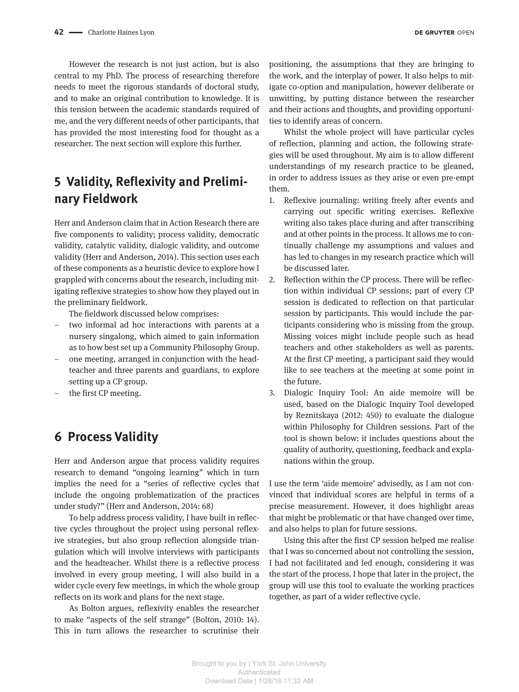However the research is not just action, but is also central to my PhD. The process of researching therefore needs to meet the rigorous standards of doctoral study, and to make an original contribution to knowledge. It is this tension between the academic standards required of me, and the very different needs of other participants, that has provided the most interesting food for thought as a researcher. The next section will explore this further.

# **5 Validity, Reflexivity and Preliminary Fieldwork**

Herr and Anderson claim that in Action Research there are five components to validity; process validity, democratic validity, catalytic validity, dialogic validity, and outcome validity (Herr and Anderson, 2014). This section uses each of these components as a heuristic device to explore how I grappled with concerns about the research, including mitigating reflexive strategies to show how they played out in the preliminary fieldwork.

The fieldwork discussed below comprises:

- two informal ad hoc interactions with parents at a nursery singalong, which aimed to gain information as to how best set up a Community Philosophy Group.
- one meeting, arranged in conjunction with the headteacher and three parents and guardians, to explore setting up a CP group.
- the first CP meeting.

# **6 Process Validity**

Herr and Anderson argue that process validity requires research to demand "ongoing learning" which in turn implies the need for a "series of reflective cycles that include the ongoing problematization of the practices under study?" (Herr and Anderson, 2014: 68)

To help address process validity, I have built in reflective cycles throughout the project using personal reflexive strategies, but also group reflection alongside triangulation which will involve interviews with participants and the headteacher. Whilst there is a reflective process involved in every group meeting, I will also build in a wider cycle every few meetings, in which the whole group reflects on its work and plans for the next stage.

As Bolton argues, reflexivity enables the researcher to make "aspects of the self strange" (Bolton, 2010: 14). This in turn allows the researcher to scrutinise their

positioning, the assumptions that they are bringing to the work, and the interplay of power. It also helps to mitigate co-option and manipulation, however deliberate or unwitting, by putting distance between the researcher and their actions and thoughts, and providing opportunities to identify areas of concern.

Whilst the whole project will have particular cycles of reflection, planning and action, the following strategies will be used throughout. My aim is to allow different understandings of my research practice to be gleaned, in order to address issues as they arise or even pre-empt them.

- 1. Reflexive journaling: writing freely after events and carrying out specific writing exercises. Reflexive writing also takes place during and after transcribing and at other points in the process. It allows me to continually challenge my assumptions and values and has led to changes in my research practice which will be discussed later.
- 2. Reflection within the CP process. There will be reflection within individual CP sessions; part of every CP session is dedicated to reflection on that particular session by participants. This would include the participants considering who is missing from the group. Missing voices might include people such as head teachers and other stakeholders as well as parents. At the first CP meeting, a participant said they would like to see teachers at the meeting at some point in the future.
- 3. Dialogic Inquiry Tool: An aide memoire will be used, based on the Dialogic Inquiry Tool developed by Reznitskaya (2012: 450) to evaluate the dialogue within Philosophy for Children sessions. Part of the tool is shown below: it includes questions about the quality of authority, questioning, feedback and explanations within the group.

I use the term 'aide memoire' advisedly, as I am not convinced that individual scores are helpful in terms of a precise measurement. However, it does highlight areas that might be problematic or that have changed over time, and also helps to plan for future sessions.

Using this after the first CP session helped me realise that I was so concerned about not controlling the session, I had not facilitated and led enough, considering it was the start of the process. I hope that later in the project, the group will use this tool to evaluate the working practices together, as part of a wider reflective cycle.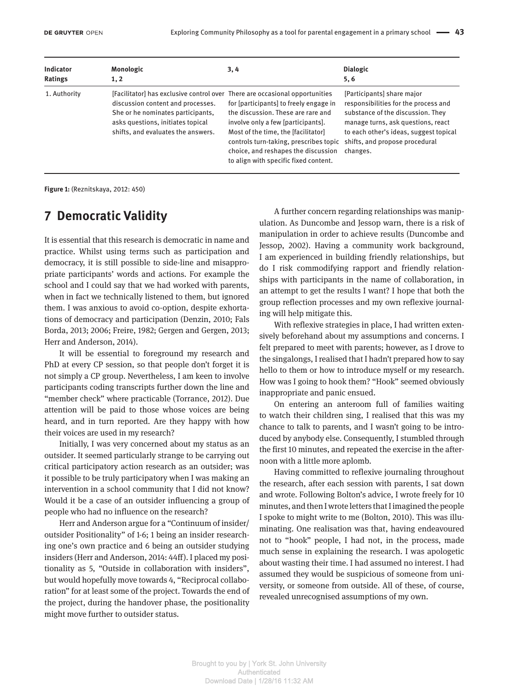| Indicator      | Monologic                                                                                                                                                                                                                        | 3, 4                                                                                                                                                                                                                                                                                | <b>Dialogic</b>                                                                                                                                                                                                                       |
|----------------|----------------------------------------------------------------------------------------------------------------------------------------------------------------------------------------------------------------------------------|-------------------------------------------------------------------------------------------------------------------------------------------------------------------------------------------------------------------------------------------------------------------------------------|---------------------------------------------------------------------------------------------------------------------------------------------------------------------------------------------------------------------------------------|
| <b>Ratings</b> | 1, 2                                                                                                                                                                                                                             |                                                                                                                                                                                                                                                                                     | 5, 6                                                                                                                                                                                                                                  |
| 1. Authority   | [Facilitator] has exclusive control over There are occasional opportunities<br>discussion content and processes.<br>She or he nominates participants,<br>asks questions, initiates topical<br>shifts, and evaluates the answers. | for [participants] to freely engage in<br>the discussion. These are rare and<br>involve only a few [participants].<br>Most of the time, the [facilitator]<br>controls turn-taking, prescribes topic<br>choice, and reshapes the discussion<br>to align with specific fixed content. | [Participants] share major<br>responsibilities for the process and<br>substance of the discussion. They<br>manage turns, ask questions, react<br>to each other's ideas, suggest topical<br>shifts, and propose procedural<br>changes. |

**Figure 1:** (Reznitskaya, 2012: 450)

# **7 Democratic Validity**

It is essential that this research is democratic in name and practice. Whilst using terms such as participation and democracy, it is still possible to side-line and misappropriate participants' words and actions. For example the school and I could say that we had worked with parents, when in fact we technically listened to them, but ignored them. I was anxious to avoid co-option, despite exhortations of democracy and participation (Denzin, 2010; Fals Borda, 2013; 2006; Freire, 1982; Gergen and Gergen, 2013; Herr and Anderson, 2014).

It will be essential to foreground my research and PhD at every CP session, so that people don't forget it is not simply a CP group. Nevertheless, I am keen to involve participants coding transcripts further down the line and "member check" where practicable (Torrance, 2012). Due attention will be paid to those whose voices are being heard, and in turn reported. Are they happy with how their voices are used in my research?

Initially, I was very concerned about my status as an outsider. It seemed particularly strange to be carrying out critical participatory action research as an outsider; was it possible to be truly participatory when I was making an intervention in a school community that I did not know? Would it be a case of an outsider influencing a group of people who had no influence on the research?

Herr and Anderson argue for a "Continuum of insider/ outsider Positionality" of 1-6; 1 being an insider researching one's own practice and 6 being an outsider studying insiders (Herr and Anderson, 2014: 44ff). I placed my positionality as 5, "Outside in collaboration with insiders", but would hopefully move towards 4, "Reciprocal collaboration" for at least some of the project. Towards the end of the project, during the handover phase, the positionality might move further to outsider status.

A further concern regarding relationships was manipulation. As Duncombe and Jessop warn, there is a risk of manipulation in order to achieve results (Duncombe and Jessop, 2002). Having a community work background, I am experienced in building friendly relationships, but do I risk commodifying rapport and friendly relationships with participants in the name of collaboration, in an attempt to get the results I want? I hope that both the group reflection processes and my own reflexive journaling will help mitigate this.

With reflexive strategies in place, I had written extensively beforehand about my assumptions and concerns. I felt prepared to meet with parents; however, as I drove to the singalongs, I realised that I hadn't prepared how to say hello to them or how to introduce myself or my research. How was I going to hook them? "Hook" seemed obviously inappropriate and panic ensued.

On entering an anteroom full of families waiting to watch their children sing, I realised that this was my chance to talk to parents, and I wasn't going to be introduced by anybody else. Consequently, I stumbled through the first 10 minutes, and repeated the exercise in the afternoon with a little more aplomb.

Having committed to reflexive journaling throughout the research, after each session with parents, I sat down and wrote. Following Bolton's advice, I wrote freely for 10 minutes, and then I wrote letters that I imagined the people I spoke to might write to me (Bolton, 2010). This was illuminating. One realisation was that, having endeavoured not to "hook" people, I had not, in the process, made much sense in explaining the research. I was apologetic about wasting their time. I had assumed no interest. I had assumed they would be suspicious of someone from university, or someone from outside. All of these, of course, revealed unrecognised assumptions of my own.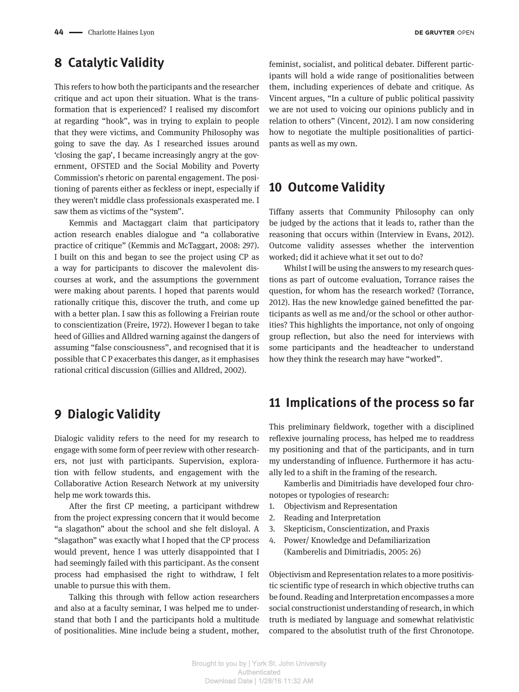# **8 Catalytic Validity**

This refers to how both the participants and the researcher critique and act upon their situation. What is the transformation that is experienced? I realised my discomfort at regarding "hook", was in trying to explain to people that they were victims, and Community Philosophy was going to save the day. As I researched issues around 'closing the gap', I became increasingly angry at the government, OFSTED and the Social Mobility and Poverty Commission's rhetoric on parental engagement. The positioning of parents either as feckless or inept, especially if they weren't middle class professionals exasperated me. I saw them as victims of the "system".

Kemmis and Mactaggart claim that participatory action research enables dialogue and "a collaborative practice of critique" (Kemmis and McTaggart, 2008: 297). I built on this and began to see the project using CP as a way for participants to discover the malevolent discourses at work, and the assumptions the government were making about parents. I hoped that parents would rationally critique this, discover the truth, and come up with a better plan. I saw this as following a Freirian route to conscientization (Freire, 1972). However I began to take heed of Gillies and Alldred warning against the dangers of assuming "false consciousness", and recognised that it is possible that C P exacerbates this danger, as it emphasises rational critical discussion (Gillies and Alldred, 2002).

# **9 Dialogic Validity**

Dialogic validity refers to the need for my research to engage with some form of peer review with other researchers, not just with participants. Supervision, exploration with fellow students, and engagement with the Collaborative Action Research Network at my university help me work towards this.

After the first CP meeting, a participant withdrew from the project expressing concern that it would become "a slagathon" about the school and she felt disloyal. A "slagathon" was exactly what I hoped that the CP process would prevent, hence I was utterly disappointed that I had seemingly failed with this participant. As the consent process had emphasised the right to withdraw, I felt unable to pursue this with them.

Talking this through with fellow action researchers and also at a faculty seminar, I was helped me to understand that both I and the participants hold a multitude of positionalities. Mine include being a student, mother,

feminist, socialist, and political debater. Different participants will hold a wide range of positionalities between them, including experiences of debate and critique. As Vincent argues, "In a culture of public political passivity we are not used to voicing our opinions publicly and in relation to others" (Vincent, 2012). I am now considering how to negotiate the multiple positionalities of participants as well as my own.

#### **10 Outcome Validity**

Tiffany asserts that Community Philosophy can only be judged by the actions that it leads to, rather than the reasoning that occurs within (Interview in Evans, 2012). Outcome validity assesses whether the intervention worked; did it achieve what it set out to do?

Whilst I will be using the answers to my research questions as part of outcome evaluation, Torrance raises the question, for whom has the research worked? (Torrance, 2012). Has the new knowledge gained benefitted the participants as well as me and/or the school or other authorities? This highlights the importance, not only of ongoing group reflection, but also the need for interviews with some participants and the headteacher to understand how they think the research may have "worked".

#### **11 Implications of the process so far**

This preliminary fieldwork, together with a disciplined reflexive journaling process, has helped me to readdress my positioning and that of the participants, and in turn my understanding of influence. Furthermore it has actually led to a shift in the framing of the research.

Kamberlis and Dimitriadis have developed four chronotopes or typologies of research:

- 1. Objectivism and Representation
- 2. Reading and Interpretation
- 3. Skepticism, Conscientization, and Praxis
- 4. Power/ Knowledge and Defamiliarization (Kamberelis and Dimitriadis, 2005: 26)

Objectivism and Representation relates to a more positivistic scientific type of research in which objective truths can be found. Reading and Interpretation encompasses a more social constructionist understanding of research, in which truth is mediated by language and somewhat relativistic compared to the absolutist truth of the first Chronotope.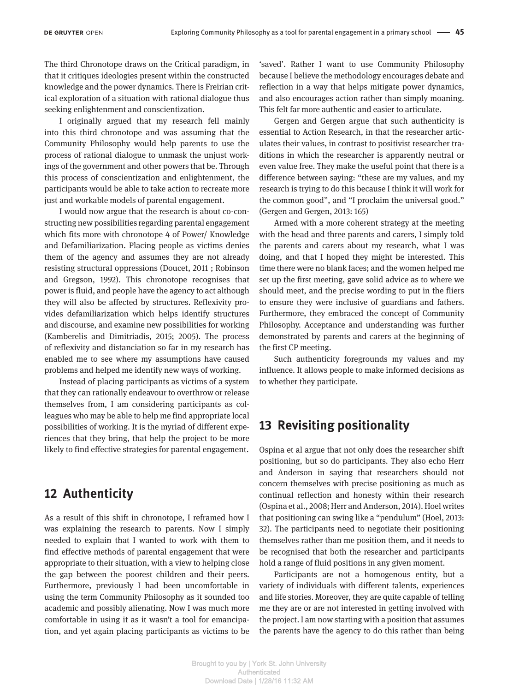The third Chronotope draws on the Critical paradigm, in that it critiques ideologies present within the constructed knowledge and the power dynamics. There is Freirian critical exploration of a situation with rational dialogue thus seeking enlightenment and conscientization.

I originally argued that my research fell mainly into this third chronotope and was assuming that the Community Philosophy would help parents to use the process of rational dialogue to unmask the unjust workings of the government and other powers that be. Through this process of conscientization and enlightenment, the participants would be able to take action to recreate more just and workable models of parental engagement.

I would now argue that the research is about co-constructing new possibilities regarding parental engagement which fits more with chronotope 4 of Power/ Knowledge and Defamiliarization. Placing people as victims denies them of the agency and assumes they are not already resisting structural oppressions (Doucet, 2011 ; Robinson and Gregson, 1992). This chronotope recognises that power is fluid, and people have the agency to act although they will also be affected by structures. Reflexivity provides defamiliarization which helps identify structures and discourse, and examine new possibilities for working (Kamberelis and Dimitriadis, 2015; 2005). The process of reflexivity and distanciation so far in my research has enabled me to see where my assumptions have caused problems and helped me identify new ways of working.

Instead of placing participants as victims of a system that they can rationally endeavour to overthrow or release themselves from, I am considering participants as colleagues who may be able to help me find appropriate local possibilities of working. It is the myriad of different experiences that they bring, that help the project to be more likely to find effective strategies for parental engagement.

## **12 Authenticity**

As a result of this shift in chronotope, I reframed how I was explaining the research to parents. Now I simply needed to explain that I wanted to work with them to find effective methods of parental engagement that were appropriate to their situation, with a view to helping close the gap between the poorest children and their peers. Furthermore, previously I had been uncomfortable in using the term Community Philosophy as it sounded too academic and possibly alienating. Now I was much more comfortable in using it as it wasn't a tool for emancipation, and yet again placing participants as victims to be

'saved'. Rather I want to use Community Philosophy because I believe the methodology encourages debate and reflection in a way that helps mitigate power dynamics, and also encourages action rather than simply moaning. This felt far more authentic and easier to articulate.

Gergen and Gergen argue that such authenticity is essential to Action Research, in that the researcher articulates their values, in contrast to positivist researcher traditions in which the researcher is apparently neutral or even value free. They make the useful point that there is a difference between saying: "these are my values, and my research is trying to do this because I think it will work for the common good", and "I proclaim the universal good." (Gergen and Gergen, 2013: 165)

Armed with a more coherent strategy at the meeting with the head and three parents and carers, I simply told the parents and carers about my research, what I was doing, and that I hoped they might be interested. This time there were no blank faces; and the women helped me set up the first meeting, gave solid advice as to where we should meet, and the precise wording to put in the fliers to ensure they were inclusive of guardians and fathers. Furthermore, they embraced the concept of Community Philosophy. Acceptance and understanding was further demonstrated by parents and carers at the beginning of the first CP meeting.

Such authenticity foregrounds my values and my influence. It allows people to make informed decisions as to whether they participate.

#### **13 Revisiting positionality**

Ospina et al argue that not only does the researcher shift positioning, but so do participants. They also echo Herr and Anderson in saying that researchers should not concern themselves with precise positioning as much as continual reflection and honesty within their research (Ospina et al., 2008; Herr and Anderson, 2014). Hoel writes that positioning can swing like a "pendulum" (Hoel, 2013: 32). The participants need to negotiate their positioning themselves rather than me position them, and it needs to be recognised that both the researcher and participants hold a range of fluid positions in any given moment.

Participants are not a homogenous entity, but a variety of individuals with different talents, experiences and life stories. Moreover, they are quite capable of telling me they are or are not interested in getting involved with the project. I am now starting with a position that assumes the parents have the agency to do this rather than being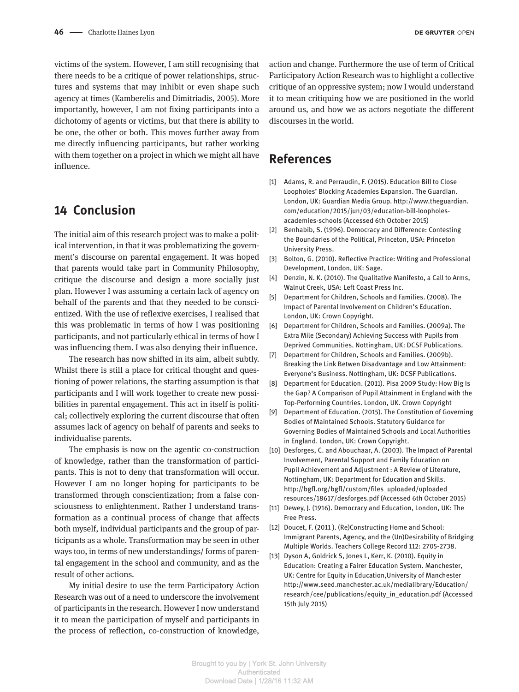victims of the system. However, I am still recognising that there needs to be a critique of power relationships, structures and systems that may inhibit or even shape such agency at times (Kamberelis and Dimitriadis, 2005). More importantly, however, I am not fixing participants into a dichotomy of agents or victims, but that there is ability to be one, the other or both. This moves further away from me directly influencing participants, but rather working with them together on a project in which we might all have influence.

#### **14 Conclusion**

The initial aim of this research project was to make a political intervention, in that it was problematizing the government's discourse on parental engagement. It was hoped that parents would take part in Community Philosophy, critique the discourse and design a more socially just plan. However I was assuming a certain lack of agency on behalf of the parents and that they needed to be conscientized. With the use of reflexive exercises, I realised that this was problematic in terms of how I was positioning participants, and not particularly ethical in terms of how I was influencing them. I was also denying their influence.

The research has now shifted in its aim, albeit subtly. Whilst there is still a place for critical thought and questioning of power relations, the starting assumption is that participants and I will work together to create new possibilities in parental engagement. This act in itself is political; collectively exploring the current discourse that often assumes lack of agency on behalf of parents and seeks to individualise parents.

The emphasis is now on the agentic co-construction of knowledge, rather than the transformation of participants. This is not to deny that transformation will occur. However I am no longer hoping for participants to be transformed through conscientization; from a false consciousness to enlightenment. Rather I understand transformation as a continual process of change that affects both myself, individual participants and the group of participants as a whole. Transformation may be seen in other ways too, in terms of new understandings/ forms of parental engagement in the school and community, and as the result of other actions.

My initial desire to use the term Participatory Action Research was out of a need to underscore the involvement of participants in the research. However I now understand it to mean the participation of myself and participants in the process of reflection, co-construction of knowledge,

action and change. Furthermore the use of term of Critical Participatory Action Research was to highlight a collective critique of an oppressive system; now I would understand it to mean critiquing how we are positioned in the world around us, and how we as actors negotiate the different discourses in the world.

#### **References**

- [1] Adams, R. and Perraudin, F. (2015). Education Bill to Close Loopholes' Blocking Academies Expansion. The Guardian. London, UK: Guardian Media Group. [http://www.theguardian.](http://www.theguardian.com/education/2015/jun/03/education-bill-loopholes-academies-schools) [com/education/2015/jun/03/education-bill-loopholes](http://www.theguardian.com/education/2015/jun/03/education-bill-loopholes-academies-schools)[academies-schools](http://www.theguardian.com/education/2015/jun/03/education-bill-loopholes-academies-schools) (Accessed 6th October 2015)
- [2] Benhabib, S. (1996). Democracy and Difference: Contesting the Boundaries of the Political, Princeton, USA: Princeton University Press.
- [3] Bolton, G. (2010). Reflective Practice: Writing and Professional Development, London, UK: Sage.
- [4] Denzin, N. K. (2010). The Qualitative Manifesto, a Call to Arms, Walnut Creek, USA: Left Coast Press Inc.
- [5] Department for Children, Schools and Families. (2008). The Impact of Parental Involvement on Children's Education. London, UK: Crown Copyright.
- [6] Department for Children, Schools and Families. (2009a). The Extra Mile (Secondary) Achieving Success with Pupils from Deprived Communities. Nottingham, UK: DCSF Publications.
- [7] Department for Children, Schools and Families. (2009b). Breaking the Link Betwen Disadvantage and Low Attainment: Everyone's Business. Nottingham, UK: DCSF Publications.
- [8] Department for Education. (2011). Pisa 2009 Study: How Big Is the Gap? A Comparison of Pupil Attainment in England with the Top-Performing Countries. London, UK. Crown Copyright
- [9] Department of Education. (2015). The Constitution of Governing Bodies of Maintained Schools. Statutory Guidance for Governing Bodies of Maintained Schools and Local Authorities in England. London, UK: Crown Copyright.
- [10] Desforges, C. and Abouchaar, A. (2003). The Impact of Parental Involvement, Parental Support and Family Education on Pupil Achievement and Adjustment : A Review of Literature, Nottingham, UK: Department for Education and Skills. [http://bgfl.org/bgfl/custom/files\\_uploaded/uploaded\\_](http://bgfl.org/bgfl/custom/files_uploaded/uploaded_resources/18617/desforges.pdf) [resources/18617/desforges.pdf](http://bgfl.org/bgfl/custom/files_uploaded/uploaded_resources/18617/desforges.pdf) (Accessed 6th October 2015)
- [11] Dewey, J. (1916). Democracy and Education, London, UK: The Free Press.
- [12] Doucet, F. (2011). (Re)Constructing Home and School: Immigrant Parents, Agency, and the (Un)Desirability of Bridging Multiple Worlds. Teachers College Record 112: 2705-2738.
- [13] Dyson A, Goldrick S, Jones L, Kerr, K. (2010). Equity in Education: Creating a Fairer Education System. Manchester, UK: Centre for Equity in Education,University of Manchester [http://www.seed.manchester.ac.uk/medialibrary/Education/](http://www.seed.manchester.ac.uk/medialibrary/Education/research/cee/publications/equity_in_education.pdf) [research/cee/publications/equity\\_in\\_education.pdf](http://www.seed.manchester.ac.uk/medialibrary/Education/research/cee/publications/equity_in_education.pdf) (Accessed 15th July 2015)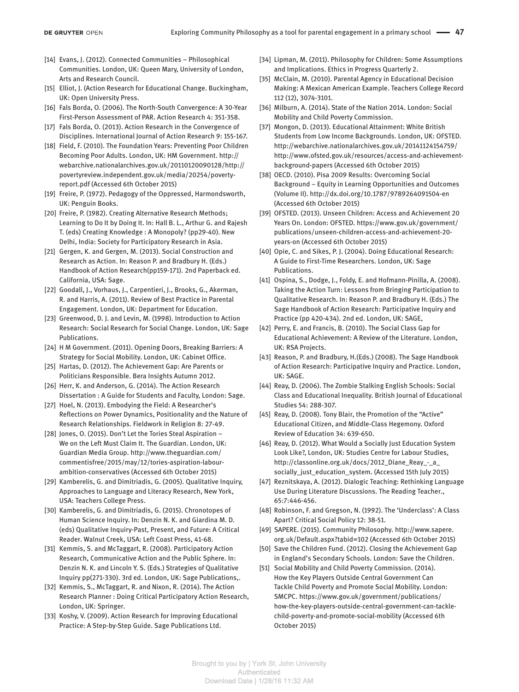- [14] Evans, J. (2012). Connected Communities Philosophical Communities. London, UK: Queen Mary, University of London, Arts and Research Council.
- [15] Elliot, J. (Action Research for Educational Change. Buckingham, UK: Open University Press.
- [16] Fals Borda, O. (2006). The North-South Convergence: A 30-Year First-Person Assessment of PAR. Action Research 4: 351-358.
- [17] Fals Borda, O. (2013). Action Research in the Convergence of Disciplines. International Journal of Action Research 9: 155-167.
- [18] Field, F. (2010). The Foundation Years: Preventing Poor Children Becoming Poor Adults. London, UK: HM Government. [http://](http://webarchive.nationalarchives.gov.uk/20110120090128/http://povertyreview.independent.gov.uk/media/20254/poverty-report.pdf) [webarchive.nationalarchives.gov.uk/20110120090128/http://](http://webarchive.nationalarchives.gov.uk/20110120090128/http://povertyreview.independent.gov.uk/media/20254/poverty-report.pdf) [povertyreview.independent.gov.uk/media/20254/poverty](http://webarchive.nationalarchives.gov.uk/20110120090128/http://povertyreview.independent.gov.uk/media/20254/poverty-report.pdf)[report.pdf](http://webarchive.nationalarchives.gov.uk/20110120090128/http://povertyreview.independent.gov.uk/media/20254/poverty-report.pdf) (Accessed 6th October 2015)
- [19] Freire, P. (1972). Pedagogy of the Oppressed, Harmondsworth, UK: Penguin Books.
- [20] Freire, P. (1982). Creating Alternative Research Methods; Learning to Do It by Doing It. In: Hall B. L., Arthur G. and Rajesh T. (eds) Creating Knowledge : A Monopoly? (pp29-40). New Delhi, India: Society for Participatory Research in Asia.
- [21] Gergen, K. and Gergen, M. (2013). Social Construction and Research as Action. In: Reason P. and Bradbury H. (Eds.) Handbook of Action Research(pp159-171). 2nd Paperback ed. California, USA: Sage.
- [22] Goodall, J., Vorhaus, J., Carpentieri, J., Brooks, G., Akerman, R. and Harris, A. (2011). Review of Best Practice in Parental Engagement. London, UK: Department for Education.
- [23] Greenwood, D. J. and Levin, M. (1998). Introduction to Action Research: Social Research for Social Change. London, UK: Sage Publications.
- [24] H M Government. (2011). Opening Doors, Breaking Barriers: A Strategy for Social Mobility. London, UK: Cabinet Office.
- [25] Hartas, D. (2012). The Achievement Gap: Are Parents or Politicians Responsible. Bera Insights Autumn 2012.
- [26] Herr, K. and Anderson, G. (2014). The Action Research Dissertation : A Guide for Students and Faculty, London: Sage.
- [27] Hoel, N. (2013). Embodying the Field: A Researcher's Reflections on Power Dynamics, Positionality and the Nature of Research Relationships. Fieldwork in Religion 8: 27-49.
- [28] Jones, O. (2015). Don't Let the Tories Steal Aspiration -We on the Left Must Claim It. The Guardian. London, UK: Guardian Media Group. [http://www.theguardian.com/](http://www.theguardian.com/commentisfree/2015/may/12/tories-aspiration-labour-ambition-conservatives) [commentisfree/2015/may/12/tories-aspiration-labour](http://www.theguardian.com/commentisfree/2015/may/12/tories-aspiration-labour-ambition-conservatives)[ambition-conservatives](http://www.theguardian.com/commentisfree/2015/may/12/tories-aspiration-labour-ambition-conservatives) (Accessed 6th October 2015)
- [29] Kamberelis, G. and Dimitriadis, G. (2005). Qualitative Inquiry, Approaches to Language and Literacy Research, New York, USA: Teachers College Press.
- [30] Kamberelis, G. and Dimitriadis, G. (2015). Chronotopes of Human Science Inquiry. In: Denzin N. K. and Giardina M. D. (eds) Qualitative Inquiry-Past, Present, and Future: A Critical Reader. Walnut Creek, USA: Left Coast Press, 41-68.
- [31] Kemmis, S. and McTaggart, R. (2008). Participatory Action Research, Communicative Action and the Public Sphere. In: Denzin N. K. and Lincoln Y. S. (Eds.) Strategies of Qualitative Inquiry pp(271-330). 3rd ed. London, UK: Sage Publications,.
- [32] Kemmis, S., McTaggart, R. and Nixon, R. (2014). The Action Research Planner : Doing Critical Participatory Action Research, London, UK: Springer.
- [33] Koshy, V. (2009). Action Research for Improving Educational Practice: A Step-by-Step Guide. Sage Publications Ltd.
- [34] Lipman, M. (2011). Philosophy for Children: Some Assumptions and Implications. Ethics in Progress Quarterly 2.
- [35] McClain, M. (2010). Parental Agency in Educational Decision Making: A Mexican American Example. Teachers College Record 112 (12), 3074-3101.
- [36] Milburn, A. (2014). State of the Nation 2014. London: Social Mobility and Child Poverty Commission.
- [37] Mongon, D. (2013). Educational Attainment: White British Students from Low Income Backgrounds. London, UK: OFSTED. [http://webarchive.nationalarchives.gov.uk/20141124154759/](http://webarchive.nationalarchives.gov.uk/20141124154759/http://www.ofsted.gov.uk/resources/access-and-achievement-background-papers) [http://www.ofsted.gov.uk/resources/access-and-achievement](http://webarchive.nationalarchives.gov.uk/20141124154759/http://www.ofsted.gov.uk/resources/access-and-achievement-background-papers)[background-papers](http://webarchive.nationalarchives.gov.uk/20141124154759/http://www.ofsted.gov.uk/resources/access-and-achievement-background-papers) (Accessed 6th October 2015)
- [38] OECD. (2010). Pisa 2009 Results: Overcoming Social Background – Equity in Learning Opportunities and Outcomes (Volume II). <http://dx.doi.org/10.1787/9789264091504-en> (Accessed 6th October 2015)
- [39] OFSTED. (2013). Unseen Children: Access and Achievement 20 Years On. London: OFSTED. [https://www.gov.uk/government/](https://www.gov.uk/government/publications/unseen-children-access-and-achievement-20-years-on) [publications/unseen-children-access-and-achievement-20](https://www.gov.uk/government/publications/unseen-children-access-and-achievement-20-years-on) [years-on](https://www.gov.uk/government/publications/unseen-children-access-and-achievement-20-years-on) (Accessed 6th October 2015)
- [40] Opie, C. and Sikes, P. J. (2004). Doing Educational Research: A Guide to First-Time Researchers. London, UK: Sage Publications.
- [41] Ospina, S., Dodge, J., Foldy, E. and Hofmann-Pinilla, A. (2008). Taking the Action Turn: Lessons from Bringing Participation to Qualitative Research. In: Reason P. and Bradbury H. (Eds.) The Sage Handbook of Action Research: Participative Inquiry and Practice (pp 420-434). 2nd ed. London, UK: SAGE,
- [42] Perry, E. and Francis, B. (2010). The Social Class Gap for Educational Achievement: A Review of the Literature. London, UK: RSA Projects.
- [43] Reason, P. and Bradbury, H.(Eds.) (2008). The Sage Handbook of Action Research: Participative Inquiry and Practice. London, UK: SAGE.
- [44] Reay, D. (2006). The Zombie Stalking English Schools: Social Class and Educational Inequality. British Journal of Educational Studies 54: 288-307.
- [45] Reay, D. (2008). Tony Blair, the Promotion of the "Active" Educational Citizen, and Middle-Class Hegemony. Oxford Review of Education 34: 639-650.
- [46] Reay, D. (2012). What Would a Socially Just Education System Look Like?, London, UK: Studies Centre for Labour Studies, [http://classonline.org.uk/docs/2012\\_Diane\\_Reay\\_-\\_a\\_](http://classonline.org.uk/docs/2012_Diane_Reay_-_a_socially_just_education_system) [socially\\_just\\_education\\_system](http://classonline.org.uk/docs/2012_Diane_Reay_-_a_socially_just_education_system). (Accessed 15th July 2015)
- [47] Reznitskaya, A. (2012). Dialogic Teaching: Rethinking Language Use During Literature Discussions. The Reading Teacher., 65:7:446-456.
- [48] Robinson, F. and Gregson, N. (1992). The 'Underclass': A Class Apart? Critical Social Policy 12: 38-51.
- [49] SAPERE. (2015). Community Philosophy. [http://www.sapere.](http://www.sapere.org.uk/Default.aspx?tabid=102) [org.uk/Default.aspx?tabid=102](http://www.sapere.org.uk/Default.aspx?tabid=102) (Accessed 6th October 2015)
- [50] Save the Children Fund. (2012). Closing the Achievement Gap in England's Secondary Schools. London: Save the Children.
- [51] Social Mobility and Child Poverty Commission. (2014). How the Key Players Outside Central Government Can Tackle Child Poverty and Promote Social Mobility. London: SMCPC. [https://www.gov.uk/government/publications/](https://www.gov.uk/government/publications/how-the-key-players-outside-central-government-can-tackle-child-poverty-and-promote-social-mobility) [how-the-key-players-outside-central-government-can-tackle](https://www.gov.uk/government/publications/how-the-key-players-outside-central-government-can-tackle-child-poverty-and-promote-social-mobility)[child-poverty-and-promote-social-mobility](https://www.gov.uk/government/publications/how-the-key-players-outside-central-government-can-tackle-child-poverty-and-promote-social-mobility) (Accessed 6th October 2015)